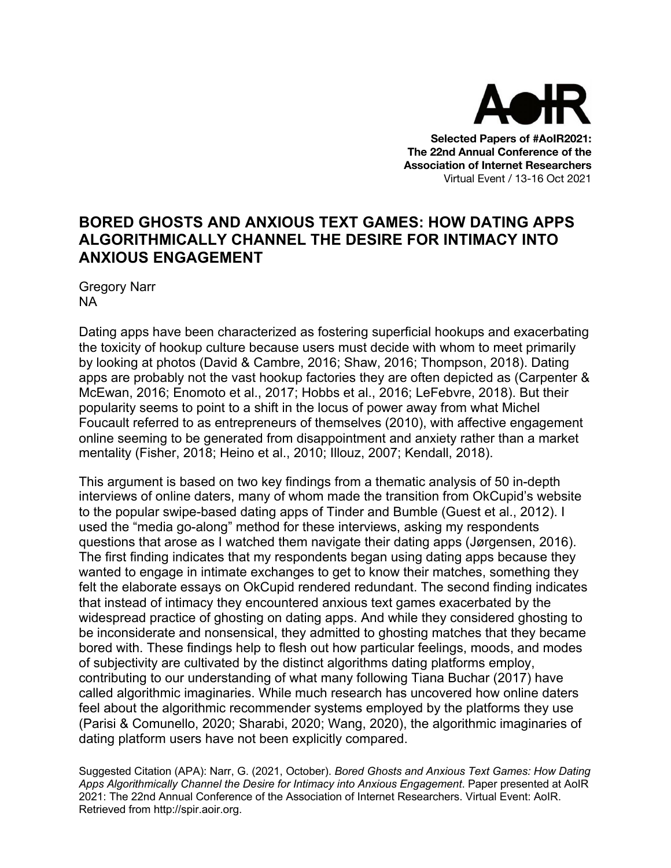

**Selected Papers of #AoIR2021: The 22nd Annual Conference of the Association of Internet Researchers** Virtual Event / 13-16 Oct 2021

## **BORED GHOSTS AND ANXIOUS TEXT GAMES: HOW DATING APPS ALGORITHMICALLY CHANNEL THE DESIRE FOR INTIMACY INTO ANXIOUS ENGAGEMENT**

Gregory Narr NA

Dating apps have been characterized as fostering superficial hookups and exacerbating the toxicity of hookup culture because users must decide with whom to meet primarily by looking at photos (David & Cambre, 2016; Shaw, 2016; Thompson, 2018). Dating apps are probably not the vast hookup factories they are often depicted as (Carpenter & McEwan, 2016; Enomoto et al., 2017; Hobbs et al., 2016; LeFebvre, 2018). But their popularity seems to point to a shift in the locus of power away from what Michel Foucault referred to as entrepreneurs of themselves (2010), with affective engagement online seeming to be generated from disappointment and anxiety rather than a market mentality (Fisher, 2018; Heino et al., 2010; Illouz, 2007; Kendall, 2018).

This argument is based on two key findings from a thematic analysis of 50 in-depth interviews of online daters, many of whom made the transition from OkCupid's website to the popular swipe-based dating apps of Tinder and Bumble (Guest et al., 2012). I used the "media go-along" method for these interviews, asking my respondents questions that arose as I watched them navigate their dating apps (Jørgensen, 2016). The first finding indicates that my respondents began using dating apps because they wanted to engage in intimate exchanges to get to know their matches, something they felt the elaborate essays on OkCupid rendered redundant. The second finding indicates that instead of intimacy they encountered anxious text games exacerbated by the widespread practice of ghosting on dating apps. And while they considered ghosting to be inconsiderate and nonsensical, they admitted to ghosting matches that they became bored with. These findings help to flesh out how particular feelings, moods, and modes of subjectivity are cultivated by the distinct algorithms dating platforms employ, contributing to our understanding of what many following Tiana Buchar (2017) have called algorithmic imaginaries. While much research has uncovered how online daters feel about the algorithmic recommender systems employed by the platforms they use (Parisi & Comunello, 2020; Sharabi, 2020; Wang, 2020), the algorithmic imaginaries of dating platform users have not been explicitly compared.

Suggested Citation (APA): Narr, G. (2021, October). *Bored Ghosts and Anxious Text Games: How Dating Apps Algorithmically Channel the Desire for Intimacy into Anxious Engagement*. Paper presented at AoIR 2021: The 22nd Annual Conference of the Association of Internet Researchers. Virtual Event: AoIR. Retrieved from http://spir.aoir.org.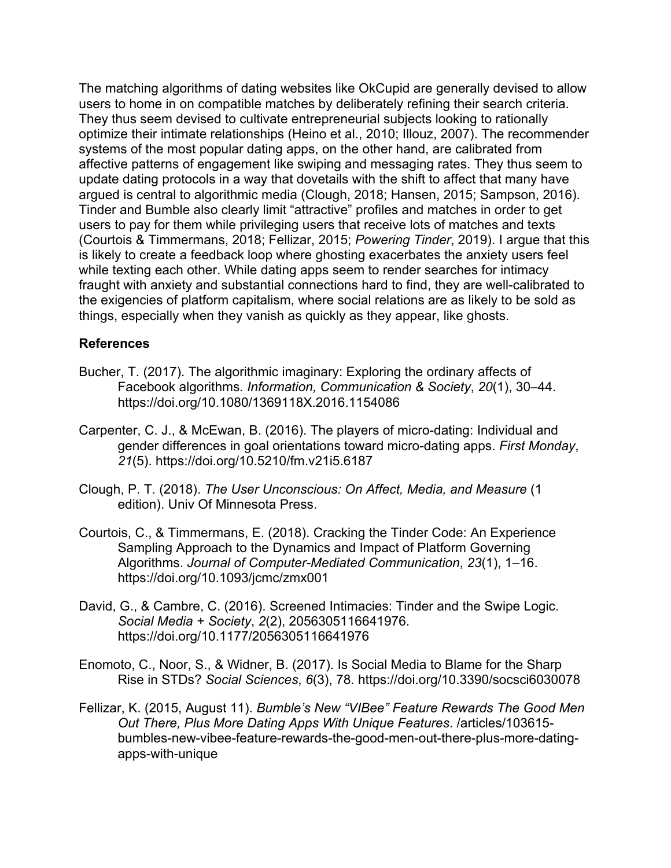The matching algorithms of dating websites like OkCupid are generally devised to allow users to home in on compatible matches by deliberately refining their search criteria. They thus seem devised to cultivate entrepreneurial subjects looking to rationally optimize their intimate relationships (Heino et al., 2010; Illouz, 2007). The recommender systems of the most popular dating apps, on the other hand, are calibrated from affective patterns of engagement like swiping and messaging rates. They thus seem to update dating protocols in a way that dovetails with the shift to affect that many have argued is central to algorithmic media (Clough, 2018; Hansen, 2015; Sampson, 2016). Tinder and Bumble also clearly limit "attractive" profiles and matches in order to get users to pay for them while privileging users that receive lots of matches and texts (Courtois & Timmermans, 2018; Fellizar, 2015; *Powering Tinder*, 2019). I argue that this is likely to create a feedback loop where ghosting exacerbates the anxiety users feel while texting each other. While dating apps seem to render searches for intimacy fraught with anxiety and substantial connections hard to find, they are well-calibrated to the exigencies of platform capitalism, where social relations are as likely to be sold as things, especially when they vanish as quickly as they appear, like ghosts.

## **References**

- Bucher, T. (2017). The algorithmic imaginary: Exploring the ordinary affects of Facebook algorithms. *Information, Communication & Society*, *20*(1), 30–44. https://doi.org/10.1080/1369118X.2016.1154086
- Carpenter, C. J., & McEwan, B. (2016). The players of micro-dating: Individual and gender differences in goal orientations toward micro-dating apps. *First Monday*, *21*(5). https://doi.org/10.5210/fm.v21i5.6187
- Clough, P. T. (2018). *The User Unconscious: On Affect, Media, and Measure* (1 edition). Univ Of Minnesota Press.
- Courtois, C., & Timmermans, E. (2018). Cracking the Tinder Code: An Experience Sampling Approach to the Dynamics and Impact of Platform Governing Algorithms. *Journal of Computer-Mediated Communication*, *23*(1), 1–16. https://doi.org/10.1093/jcmc/zmx001
- David, G., & Cambre, C. (2016). Screened Intimacies: Tinder and the Swipe Logic. *Social Media + Society*, *2*(2), 2056305116641976. https://doi.org/10.1177/2056305116641976
- Enomoto, C., Noor, S., & Widner, B. (2017). Is Social Media to Blame for the Sharp Rise in STDs? *Social Sciences*, *6*(3), 78. https://doi.org/10.3390/socsci6030078
- Fellizar, K. (2015, August 11). *Bumble's New "VIBee" Feature Rewards The Good Men Out There, Plus More Dating Apps With Unique Features*. /articles/103615 bumbles-new-vibee-feature-rewards-the-good-men-out-there-plus-more-datingapps-with-unique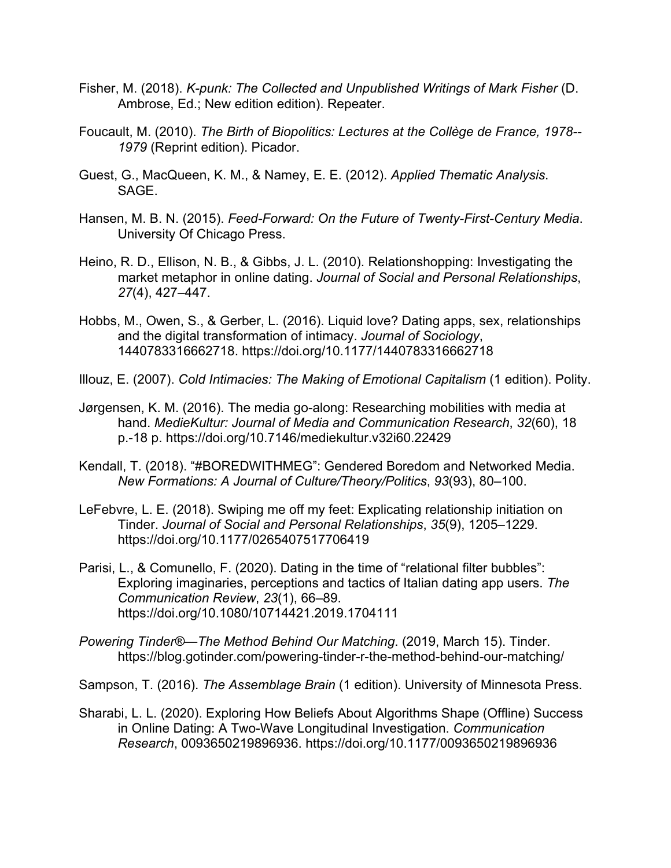- Fisher, M. (2018). *K-punk: The Collected and Unpublished Writings of Mark Fisher* (D. Ambrose, Ed.; New edition edition). Repeater.
- Foucault, M. (2010). *The Birth of Biopolitics: Lectures at the Collège de France, 1978-- 1979* (Reprint edition). Picador.
- Guest, G., MacQueen, K. M., & Namey, E. E. (2012). *Applied Thematic Analysis*. SAGE.
- Hansen, M. B. N. (2015). *Feed-Forward: On the Future of Twenty-First-Century Media*. University Of Chicago Press.
- Heino, R. D., Ellison, N. B., & Gibbs, J. L. (2010). Relationshopping: Investigating the market metaphor in online dating. *Journal of Social and Personal Relationships*, *27*(4), 427–447.
- Hobbs, M., Owen, S., & Gerber, L. (2016). Liquid love? Dating apps, sex, relationships and the digital transformation of intimacy. *Journal of Sociology*, 1440783316662718. https://doi.org/10.1177/1440783316662718
- Illouz, E. (2007). *Cold Intimacies: The Making of Emotional Capitalism* (1 edition). Polity.
- Jørgensen, K. M. (2016). The media go-along: Researching mobilities with media at hand. *MedieKultur: Journal of Media and Communication Research*, *32*(60), 18 p.-18 p. https://doi.org/10.7146/mediekultur.v32i60.22429
- Kendall, T. (2018). "#BOREDWITHMEG": Gendered Boredom and Networked Media. *New Formations: A Journal of Culture/Theory/Politics*, *93*(93), 80–100.
- LeFebvre, L. E. (2018). Swiping me off my feet: Explicating relationship initiation on Tinder. *Journal of Social and Personal Relationships*, *35*(9), 1205–1229. https://doi.org/10.1177/0265407517706419
- Parisi, L., & Comunello, F. (2020). Dating in the time of "relational filter bubbles": Exploring imaginaries, perceptions and tactics of Italian dating app users. *The Communication Review*, *23*(1), 66–89. https://doi.org/10.1080/10714421.2019.1704111
- *Powering Tinder®—The Method Behind Our Matching*. (2019, March 15). Tinder. https://blog.gotinder.com/powering-tinder-r-the-method-behind-our-matching/
- Sampson, T. (2016). *The Assemblage Brain* (1 edition). University of Minnesota Press.
- Sharabi, L. L. (2020). Exploring How Beliefs About Algorithms Shape (Offline) Success in Online Dating: A Two-Wave Longitudinal Investigation. *Communication Research*, 0093650219896936. https://doi.org/10.1177/0093650219896936